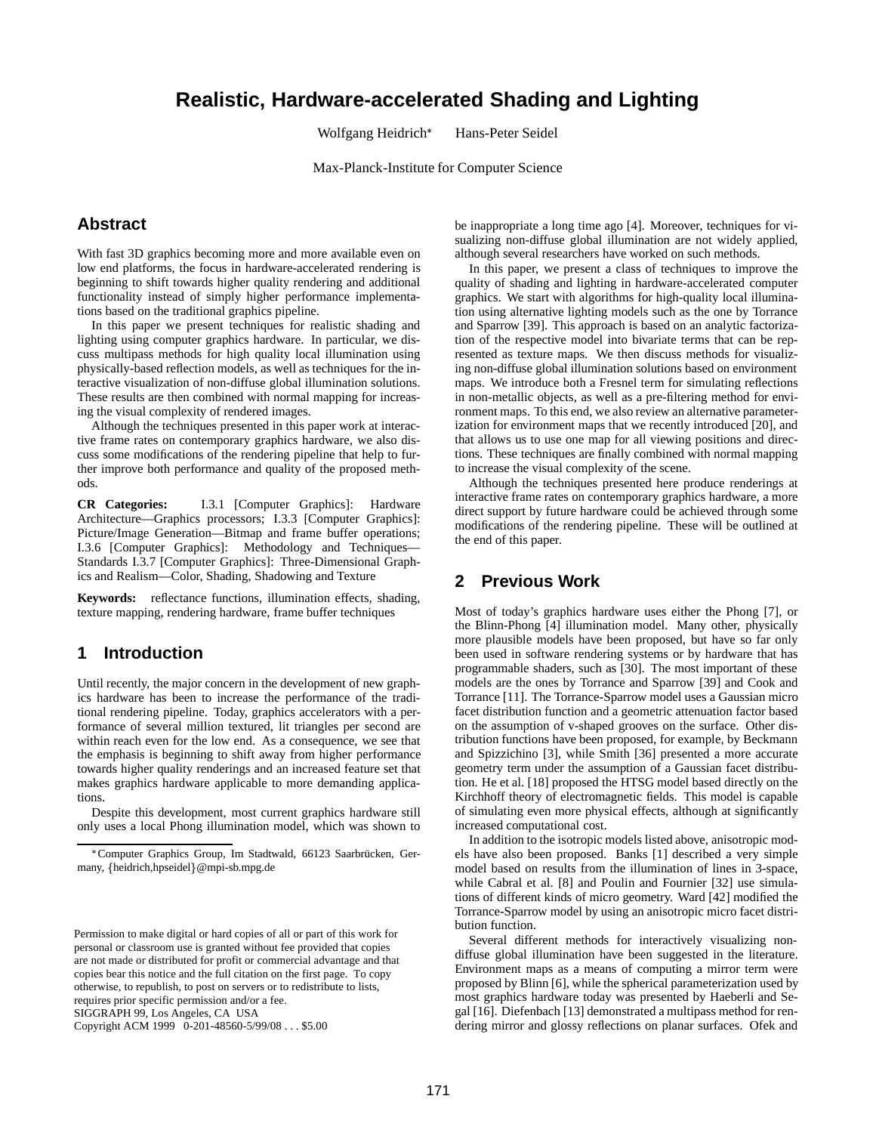# **Realistic, Hardware-accelerated Shading and Lighting**

Wolfgang Heidrich Hans-Peter Seidel

Max-Planck-Institute for Computer Science

# **Abstract**

With fast 3D graphics becoming more and more available even on low end platforms, the focus in hardware-accelerated rendering is beginning to shift towards higher quality rendering and additional functionality instead of simply higher performance implementations based on the traditional graphics pipeline.

In this paper we present techniques for realistic shading and lighting using computer graphics hardware. In particular, we discuss multipass methods for high quality local illumination using physically-based reflection models, as well as techniques for the interactive visualization of non-diffuse global illumination solutions. These results are then combined with normal mapping for increasing the visual complexity of rendered images.

Although the techniques presented in this paper work at interactive frame rates on contemporary graphics hardware, we also discuss some modifications of the rendering pipeline that help to further improve both performance and quality of the proposed methods.

**CR Categories:** I.3.1 [Computer Graphics]: Hardware Architecture—Graphics processors; I.3.3 [Computer Graphics]: Picture/Image Generation—Bitmap and frame buffer operations; I.3.6 [Computer Graphics]: Methodology and Techniques— Standards I.3.7 [Computer Graphics]: Three-Dimensional Graphics and Realism—Color, Shading, Shadowing and Texture

**Keywords:** reflectance functions, illumination effects, shading, texture mapping, rendering hardware, frame buffer techniques

### **1 Introduction**

Until recently, the major concern in the development of new graphics hardware has been to increase the performance of the traditional rendering pipeline. Today, graphics accelerators with a performance of several million textured, lit triangles per second are within reach even for the low end. As a consequence, we see that the emphasis is beginning to shift away from higher performance towards higher quality renderings and an increased feature set that makes graphics hardware applicable to more demanding applications.

Despite this development, most current graphics hardware still only uses a local Phong illumination model, which was shown to

Copyright ACM 1999 0-201-48560-5/99/08 . . . \$5.00

be inappropriate a long time ago [4]. Moreover, techniques for visualizing non-diffuse global illumination are not widely applied, although several researchers have worked on such methods.

In this paper, we present a class of techniques to improve the quality of shading and lighting in hardware-accelerated computer graphics. We start with algorithms for high-quality local illumination using alternative lighting models such as the one by Torrance and Sparrow [39]. This approach is based on an analytic factorization of the respective model into bivariate terms that can be represented as texture maps. We then discuss methods for visualizing non-diffuse global illumination solutions based on environment maps. We introduce both a Fresnel term for simulating reflections in non-metallic objects, as well as a pre-filtering method for environment maps. To this end, we also review an alternative parameterization for environment maps that we recently introduced [20], and that allows us to use one map for all viewing positions and directions. These techniques are finally combined with normal mapping to increase the visual complexity of the scene.

Although the techniques presented here produce renderings at interactive frame rates on contemporary graphics hardware, a more direct support by future hardware could be achieved through some modifications of the rendering pipeline. These will be outlined at the end of this paper.

## **2 Previous Work**

Most of today's graphics hardware uses either the Phong [7], or the Blinn-Phong [4] illumination model. Many other, physically more plausible models have been proposed, but have so far only been used in software rendering systems or by hardware that has programmable shaders, such as [30]. The most important of these models are the ones by Torrance and Sparrow [39] and Cook and Torrance [11]. The Torrance-Sparrow model uses a Gaussian micro facet distribution function and a geometric attenuation factor based on the assumption of v-shaped grooves on the surface. Other distribution functions have been proposed, for example, by Beckmann and Spizzichino [3], while Smith [36] presented a more accurate geometry term under the assumption of a Gaussian facet distribution. He et al. [18] proposed the HTSG model based directly on the Kirchhoff theory of electromagnetic fields. This model is capable of simulating even more physical effects, although at significantly increased computational cost.

In addition to the isotropic models listed above, anisotropic models have also been proposed. Banks [1] described a very simple model based on results from the illumination of lines in 3-space, while Cabral et al. [8] and Poulin and Fournier [32] use simulations of different kinds of micro geometry. Ward [42] modified the Torrance-Sparrow model by using an anisotropic micro facet distribution function.

Several different methods for interactively visualizing nondiffuse global illumination have been suggested in the literature. Environment maps as a means of computing a mirror term were proposed by Blinn [6], while the spherical parameterization used by most graphics hardware today was presented by Haeberli and Segal [16]. Diefenbach [13] demonstrated a multipass method for rendering mirror and glossy reflections on planar surfaces. Ofek and

<sup>\*</sup>Computer Graphics Group, Im Stadtwald, 66123 Saarbrücken, Germany, {heidrich,hpseidel}@mpi-sb.mpg.de

Permission to make digital or hard copies of all or part of this work for personal or classroom use is granted without fee provided that copies are not made or distributed for profit or commercial advantage and that copies bear this notice and the full citation on the first page. To copy otherwise, to republish, to post on servers or to redistribute to lists, requires prior specific permission and/or a fee. SIGGRAPH 99, Los Angeles, CA USA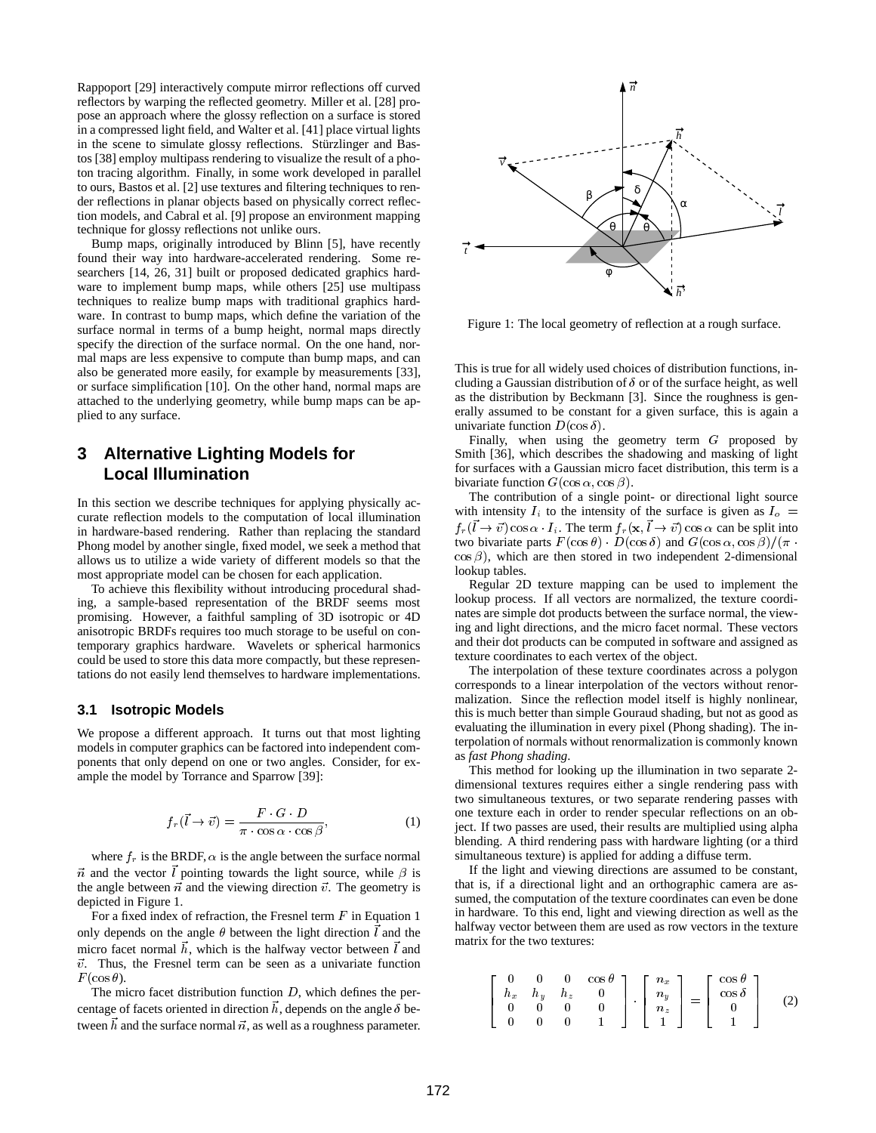Rappoport [29] interactively compute mirror reflections off curved reflectors by warping the reflected geometry. Miller et al. [28] propose an approach where the glossy reflection on a surface is stored in a compressed light field, and Walter et al. [41] place virtual lights in the scene to simulate glossy reflections. Stürzlinger and Bastos [38] employ multipass rendering to visualize the result of a photon tracing algorithm. Finally, in some work developed in parallel to ours, Bastos et al. [2] use textures and filtering techniques to render reflections in planar objects based on physically correct reflection models, and Cabral et al. [9] propose an environment mapping technique for glossy reflections not unlike ours.

Bump maps, originally introduced by Blinn [5], have recently found their way into hardware-accelerated rendering. Some researchers [14, 26, 31] built or proposed dedicated graphics hardware to implement bump maps, while others [25] use multipass techniques to realize bump maps with traditional graphics hardware. In contrast to bump maps, which define the variation of the surface normal in terms of a bump height, normal maps directly specify the direction of the surface normal. On the one hand, normal maps are less expensive to compute than bump maps, and can also be generated more easily, for example by measurements [33], or surface simplification [10]. On the other hand, normal maps are attached to the underlying geometry, while bump maps can be applied to any surface.

## **3 Alternative Lighting Models for Local Illumination**

In this section we describe techniques for applying physically accurate reflection models to the computation of local illumination in hardware-based rendering. Rather than replacing the standard Phong model by another single, fixed model, we seek a method that allows us to utilize a wide variety of different models so that the most appropriate model can be chosen for each application.

To achieve this flexibility without introducing procedural shading, a sample-based representation of the BRDF seems most promising. However, a faithful sampling of 3D isotropic or 4D anisotropic BRDFs requires too much storage to be useful on contemporary graphics hardware. Wavelets or spherical harmonics could be used to store this data more compactly, but these representations do not easily lend themselves to hardware implementations.

#### **3.1 Isotropic Models**

We propose a different approach. It turns out that most lighting models in computer graphics can be factored into independent components that only depend on one or two angles. Consider, for example the model by Torrance and Sparrow [39]:

$$
f_r(\vec{l} \to \vec{v}) = \frac{F \cdot G \cdot D}{\pi \cdot \cos \alpha \cdot \cos \beta},\tag{1}
$$

where  $f_r$  is the BRDF,  $\alpha$  is the angle between the surface normal  $\vec{n}$  and the vector *l* pointing towards the light source, while  $\beta$  is the angle between  $\vec{n}$  and the viewing direction  $\vec{v}$ . The geometry is depicted in Figure 1.

For a fixed index of refraction, the Fresnel term  $F$  in Equation 1 only depends on the angle  $\theta$  between the light direction  $l$  and the micro facet normal  $\vec{h}$ , which is the halfway vector between  $\vec{l}$  and  $\vec{v}$ . Thus, the Fresnel term can be seen as a univariate function  $F(\cos\theta)$ .

The micro facet distribution function  $D$ , which defines the percentage of facets oriented in direction  $\vec{h}$ , depends on the angle  $\delta$  between  $\vec{h}$  and the surface normal  $\vec{n}$ , as well as a roughness parameter.



Figure 1: The local geometry of reflection at a rough surface.

This is true for all widely used choices of distribution functions, including a Gaussian distribution of  $\delta$  or of the surface height, as well as the distribution by Beckmann [3]. Since the roughness is generally assumed to be constant for a given surface, this is again a univariate function  $D(\cos \delta)$ .

Finally, when using the geometry term G proposed by Smith [36], which describes the shadowing and masking of light for surfaces with a Gaussian micro facet distribution, this term is a bivariate function  $G(\cos \alpha, \cos \beta)$ .

The contribution of a single point- or directional light source with intensity  $I_i$  to the intensity of the surface is given as  $I_o$  =  $f_r(l \to \vec{v}) \cos \alpha$   $I_i$ . The term  $f_r(\mathbf{x}, l \to \vec{v}) \cos \alpha$  can be split into two bivariate parts  $F(\cos \theta) \cdot D(\cos \delta)$  and  $G(\cos \alpha, \cos \beta)/(\pi - \beta)$  $\cos \beta$ , which are then stored in two independent 2-dimensional lookup tables.

Regular 2D texture mapping can be used to implement the lookup process. If all vectors are normalized, the texture coordinates are simple dot products between the surface normal, the viewing and light directions, and the micro facet normal. These vectors and their dot products can be computed in software and assigned as texture coordinates to each vertex of the object.

The interpolation of these texture coordinates across a polygon corresponds to a linear interpolation of the vectors without renormalization. Since the reflection model itself is highly nonlinear, this is much better than simple Gouraud shading, but not as good as evaluating the illumination in every pixel (Phong shading). The interpolation of normals without renormalization is commonly known as *fast Phong shading*.

This method for looking up the illumination in two separate 2 dimensional textures requires either a single rendering pass with two simultaneous textures, or two separate rendering passes with one texture each in order to render specular reflections on an object. If two passes are used, their results are multiplied using alpha blending. A third rendering pass with hardware lighting (or a third simultaneous texture) is applied for adding a diffuse term.

If the light and viewing directions are assumed to be constant, that is, if a directional light and an orthographic camera are assumed, the computation of the texture coordinates can even be done in hardware. To this end, light and viewing direction as well as the halfway vector between them are used as row vectors in the texture matrix for the two textures:

$$
\begin{bmatrix} 0 & 0 & 0 & \cos \theta \\ h_x & h_y & h_z & 0 \\ 0 & 0 & 0 & 0 \\ 0 & 0 & 0 & 1 \end{bmatrix} \cdot \begin{bmatrix} n_x \\ n_y \\ n_z \\ 1 \end{bmatrix} = \begin{bmatrix} \cos \theta \\ \cos \delta \\ 0 \\ 1 \end{bmatrix}
$$
 (2)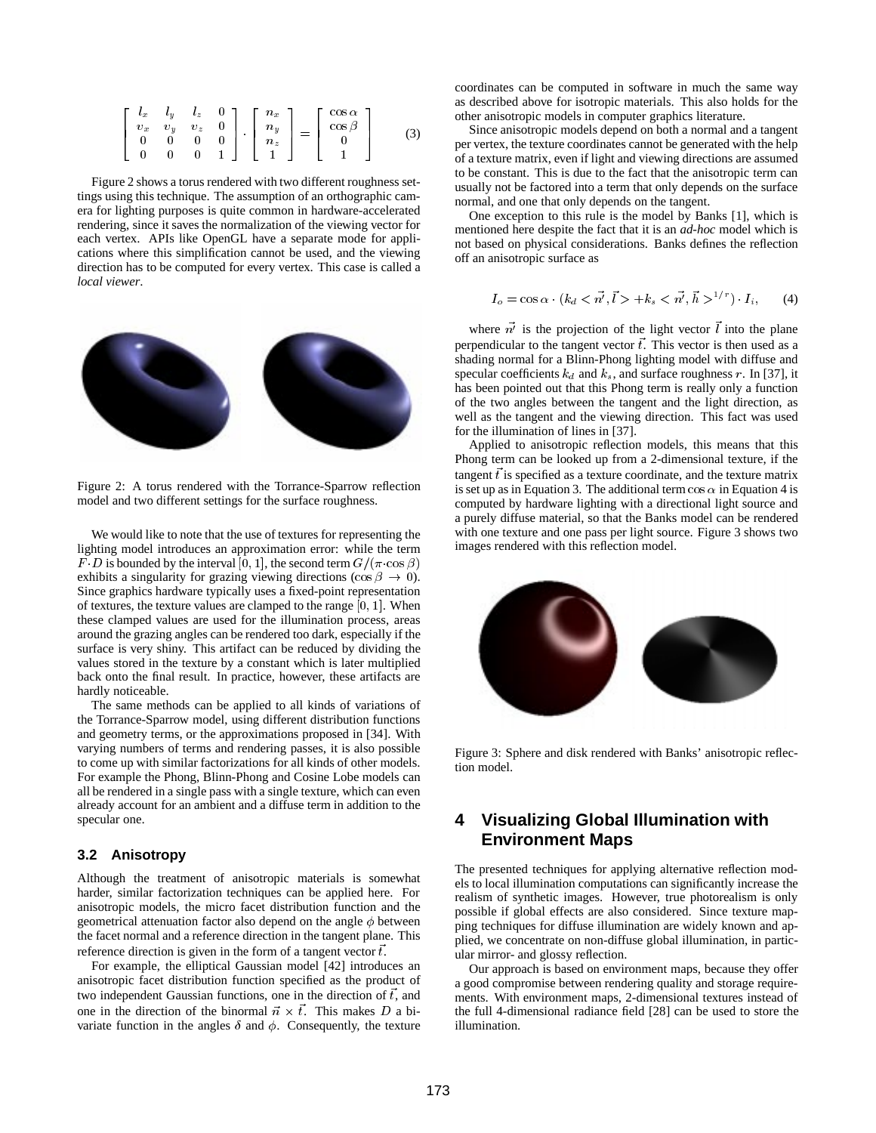$$
\begin{bmatrix} l_x & l_y & l_z & 0 \\ v_x & v_y & v_z & 0 \\ 0 & 0 & 0 & 0 \\ 0 & 0 & 0 & 1 \end{bmatrix} \cdot \begin{bmatrix} n_x \\ n_y \\ n_z \\ 1 \end{bmatrix} = \begin{bmatrix} \cos \alpha \\ \cos \beta \\ 0 \\ 1 \end{bmatrix}
$$
 (3)

Figure 2 shows a torus rendered with two different roughness settings using this technique. The assumption of an orthographic camera for lighting purposes is quite common in hardware-accelerated rendering, since it saves the normalization of the viewing vector for each vertex. APIs like OpenGL have a separate mode for applications where this simplification cannot be used, and the viewing direction has to be computed for every vertex. This case is called a *local viewer*.



Figure 2: A torus rendered with the Torrance-Sparrow reflection model and two different settings for the surface roughness.

We would like to note that the use of textures for representing the lighting model introduces an approximation error: while the term  $\overline{F}$  D is bounded by the interval [0, 1], the second term  $G/(\pi \cos \beta)$ exhibits a singularity for grazing viewing directions ( $\cos \beta \rightarrow 0$ ). Since graphics hardware typically uses a fixed-point representation of textures, the texture values are clamped to the range  $[0, 1]$ . When these clamped values are used for the illumination process, areas around the grazing angles can be rendered too dark, especially if the surface is very shiny. This artifact can be reduced by dividing the values stored in the texture by a constant which is later multiplied back onto the final result. In practice, however, these artifacts are hardly noticeable.

The same methods can be applied to all kinds of variations of the Torrance-Sparrow model, using different distribution functions and geometry terms, or the approximations proposed in [34]. With varying numbers of terms and rendering passes, it is also possible to come up with similar factorizations for all kinds of other models. For example the Phong, Blinn-Phong and Cosine Lobe models can all be rendered in a single pass with a single texture, which can even already account for an ambient and a diffuse term in addition to the specular one.

#### **3.2 Anisotropy**

Although the treatment of anisotropic materials is somewhat harder, similar factorization techniques can be applied here. For anisotropic models, the micro facet distribution function and the geometrical attenuation factor also depend on the angle  $\phi$  between the facet normal and a reference direction in the tangent plane. This reference direction is given in the form of a tangent vector  $\vec{t}$ .

For example, the elliptical Gaussian model [42] introduces an anisotropic facet distribution function specified as the product of two independent Gaussian functions, one in the direction of  $\vec{t}$ , and one in the direction of the binormal  $\vec{n} \times \vec{t}$ . This makes D a bi-<br>the variate function in the angles  $\delta$  and  $\phi$ . Consequently, the texture

coordinates can be computed in software in much the same way as described above for isotropic materials. This also holds for the other anisotropic models in computer graphics literature.

Since anisotropic models depend on both a normal and a tangent per vertex, the texture coordinates cannot be generated with the help of a texture matrix, even if light and viewing directions are assumed to be constant. This is due to the fact that the anisotropic term can usually not be factored into a term that only depends on the surface normal, and one that only depends on the tangent.

One exception to this rule is the model by Banks [1], which is mentioned here despite the fact that it is an *ad-hoc* model which is not based on physical considerations. Banks defines the reflection off an anisotropic surface as

$$
I_o = \cos \alpha \cdot (k_d < \vec{n'}, \vec{l} > +k_s < \vec{n'}, \vec{h} >^{1/r}) \cdot I_i,\qquad(4)
$$

where  $n'$  is the projection of the light vector  $l$  into the plane perpendicular to the tangent vector  $\vec{t}$ . This vector is then used as a shading normal for a Blinn-Phong lighting model with diffuse and specular coefficients  $k_d$  and  $k_s$ , and surface roughness r. In [37], it has been pointed out that this Phong term is really only a function of the two angles between the tangent and the light direction, as well as the tangent and the viewing direction. This fact was used for the illumination of lines in [37].

Applied to anisotropic reflection models, this means that this Phong term can be looked up from a 2-dimensional texture, if the tangent  $\vec{t}$  is specified as a texture coordinate, and the texture matrix is set up as in Equation 3. The additional term  $\cos \alpha$  in Equation 4 is computed by hardware lighting with a directional light source and a purely diffuse material, so that the Banks model can be rendered with one texture and one pass per light source. Figure 3 shows two images rendered with this reflection model.



Figure 3: Sphere and disk rendered with Banks' anisotropic reflection model.

# **4 Visualizing Global Illumination with Environment Maps**

The presented techniques for applying alternative reflection models to local illumination computations can significantly increase the realism of synthetic images. However, true photorealism is only possible if global effects are also considered. Since texture mapping techniques for diffuse illumination are widely known and applied, we concentrate on non-diffuse global illumination, in particular mirror- and glossy reflection.

Our approach is based on environment maps, because they offer a good compromise between rendering quality and storage requirements. With environment maps, 2-dimensional textures instead of the full 4-dimensional radiance field [28] can be used to store the illumination.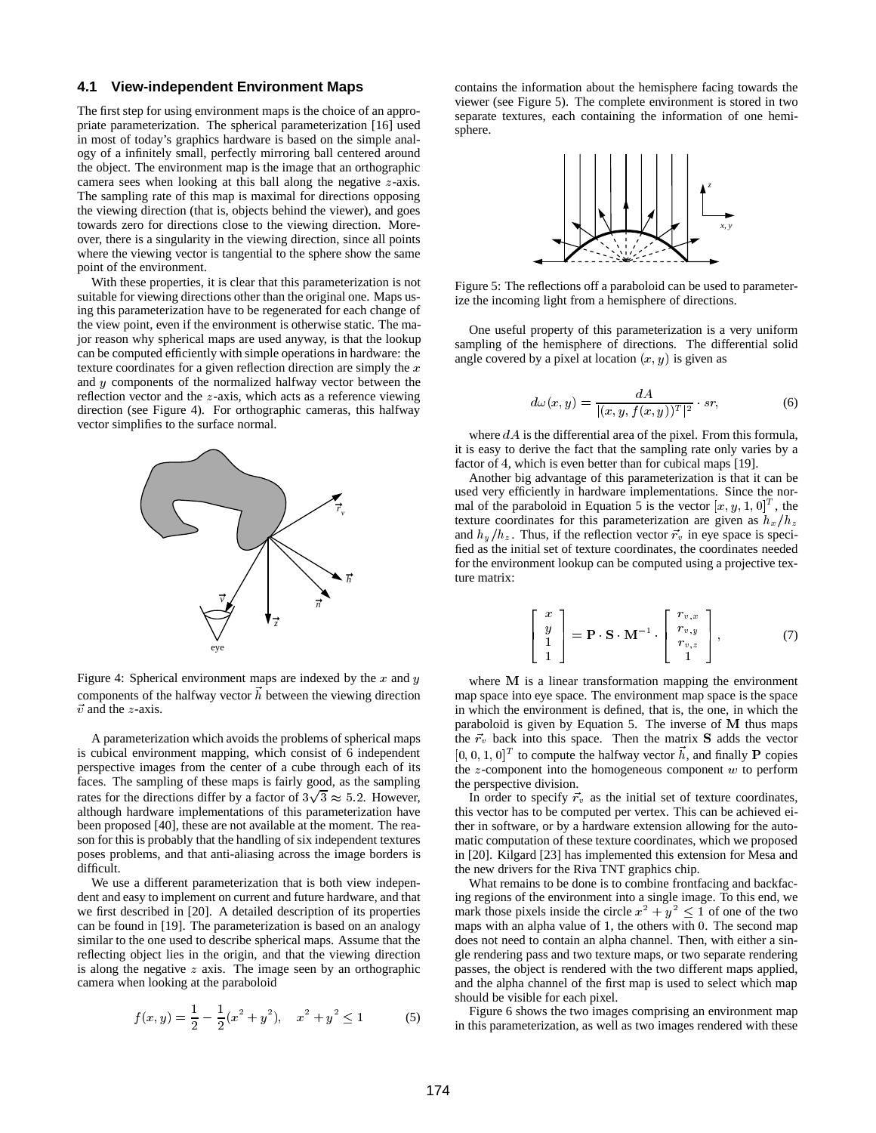#### **4.1 View-independent Environment Maps**

The first step for using environment maps is the choice of an appropriate parameterization. The spherical parameterization [16] used in most of today's graphics hardware is based on the simple analogy of a infinitely small, perfectly mirroring ball centered around the object. The environment map is the image that an orthographic camera sees when looking at this ball along the negative z-axis. The sampling rate of this map is maximal for directions opposing the viewing direction (that is, objects behind the viewer), and goes towards zero for directions close to the viewing direction. Moreover, there is a singularity in the viewing direction, since all points where the viewing vector is tangential to the sphere show the same point of the environment.

With these properties, it is clear that this parameterization is not suitable for viewing directions other than the original one. Maps using this parameterization have to be regenerated for each change of the view point, even if the environment is otherwise static. The major reason why spherical maps are used anyway, is that the lookup can be computed efficiently with simple operations in hardware: the texture coordinates for a given reflection direction are simply the  $x$ and y components of the normalized halfway vector between the reflection vector and the z-axis, which acts as a reference viewing direction (see Figure 4). For orthographic cameras, this halfway vector simplifies to the surface normal.



Figure 4: Spherical environment maps are indexed by the  $x$  and  $y$ components of the halfway vector  $\vec{h}$  between the viewing direction  $\vec{v}$  and the z-axis.

A parameterization which avoids the problems of spherical maps is cubical environment mapping, which consist of 6 independent perspective images from the center of a cube through each of its faces. The sampling of these maps is fairly good, as the sampling rates for the directions differ by a factor of  $3\sqrt{3} \approx 5.2$ . However, although hardware implementations of this parameterization have been proposed [40], these are not available at the moment. The reason for this is probably that the handling of six independent textures poses problems, and that anti-aliasing across the image borders is difficult.

We use a different parameterization that is both view independent and easy to implement on current and future hardware, and that we first described in [20]. A detailed description of its properties can be found in [19]. The parameterization is based on an analogy similar to the one used to describe spherical maps. Assume that the reflecting object lies in the origin, and that the viewing direction is along the negative  $z$  axis. The image seen by an orthographic camera when looking at the paraboloid

$$
f(x,y) = \frac{1}{2} - \frac{1}{2}(x^2 + y^2), \quad x^2 + y^2 \le 1
$$
 (5)

contains the information about the hemisphere facing towards the viewer (see Figure 5). The complete environment is stored in two separate textures, each containing the information of one hemisphere.



Figure 5: The reflections off a paraboloid can be used to parameterize the incoming light from a hemisphere of directions.

One useful property of this parameterization is a very uniform sampling of the hemisphere of directions. The differential solid angle covered by a pixel at location  $(x, y)$  is given as

$$
d\omega(x,y) = \frac{dA}{|(x,y,f(x,y))^T|^2} \cdot sr,\tag{6}
$$

where  $dA$  is the differential area of the pixel. From this formula, it is easy to derive the fact that the sampling rate only varies by a factor of <sup>4</sup>, which is even better than for cubical maps [19].

Another big advantage of this parameterization is that it can be used very efficiently in hardware implementations. Since the normal of the paraboloid in Equation 5 is the vector  $[x, y, 1, 0]^T$ , the texture coordinates for this parameterization are given as  $h_x/h_z$ and  $h_y/h_z$ . Thus, if the reflection vector  $\vec{r}_v$  in eye space is specified as the initial set of texture coordinates, the coordinates needed for the environment lookup can be computed using a projective texture matrix:

$$
\begin{bmatrix} x \\ y \\ 1 \\ 1 \end{bmatrix} = \mathbf{P} \cdot \mathbf{S} \cdot \mathbf{M}^{-1} \cdot \begin{bmatrix} r_{v,x} \\ r_{v,y} \\ r_{v,z} \\ 1 \end{bmatrix}, \tag{7}
$$

where <sup>M</sup> is a linear transformation mapping the environment map space into eye space. The environment map space is the space in which the environment is defined, that is, the one, in which the paraboloid is given by Equation 5. The inverse of <sup>M</sup> thus maps the  $\vec{r}_v$  back into this space. Then the matrix **S** adds the vector  $[0, 0, 1, 0]^T$  to compute the halfway vector h, and finally **P** copies the  $z$ -component into the homogeneous component  $w$  to perform the perspective division.

In order to specify  $\vec{r}_v$  as the initial set of texture coordinates, this vector has to be computed per vertex. This can be achieved either in software, or by a hardware extension allowing for the automatic computation of these texture coordinates, which we proposed in [20]. Kilgard [23] has implemented this extension for Mesa and the new drivers for the Riva TNT graphics chip.

What remains to be done is to combine frontfacing and backfacing regions of the environment into a single image. To this end, we mark those pixels inside the circle  $x^2 + y^2 \le 1$  of one of the two maps with an alpha value of <sup>1</sup>, the others with <sup>0</sup>. The second map does not need to contain an alpha channel. Then, with either a single rendering pass and two texture maps, or two separate rendering passes, the object is rendered with the two different maps applied, and the alpha channel of the first map is used to select which map should be visible for each pixel.

Figure 6 shows the two images comprising an environment map in this parameterization, as well as two images rendered with these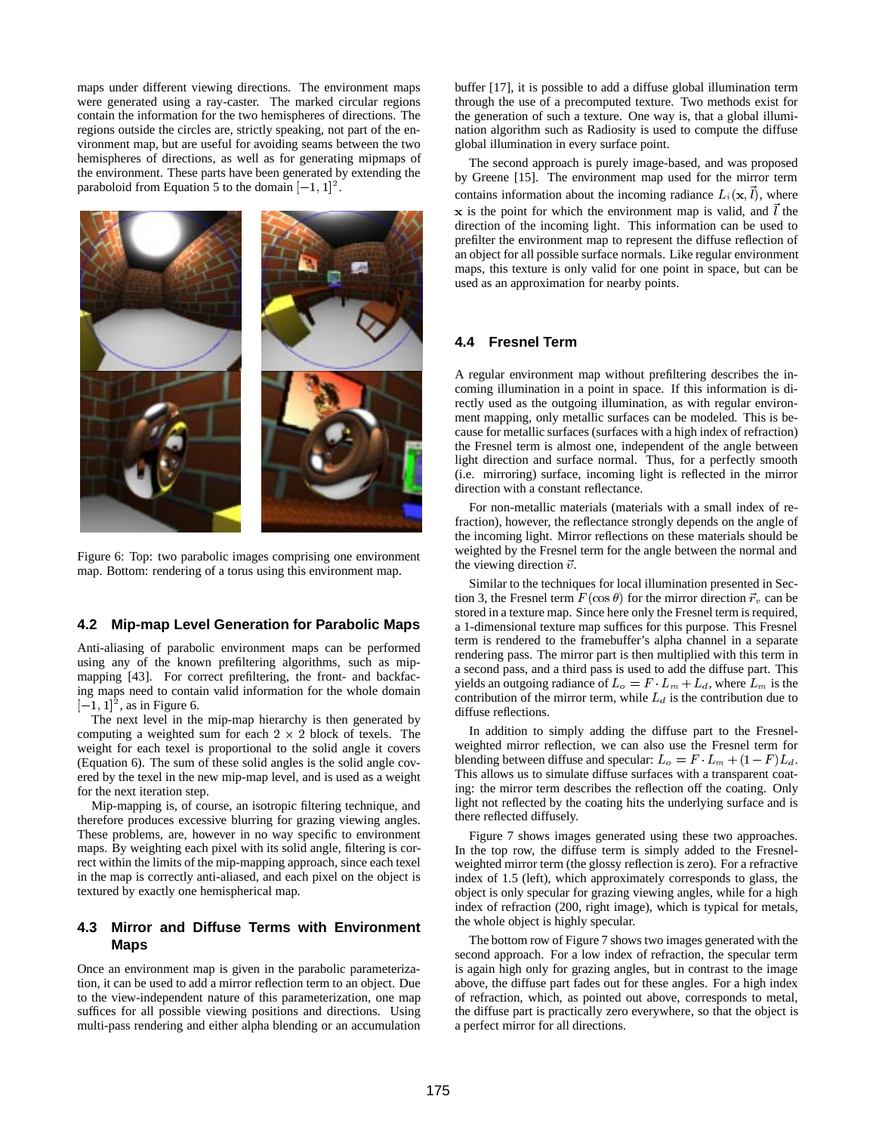maps under different viewing directions. The environment maps were generated using a ray-caster. The marked circular regions contain the information for the two hemispheres of directions. The regions outside the circles are, strictly speaking, not part of the environment map, but are useful for avoiding seams between the two hemispheres of directions, as well as for generating mipmaps of the environment. These parts have been generated by extending the



Figure 6: Top: two parabolic images comprising one environment map. Bottom: rendering of a torus using this environment map.

#### **4.2 Mip-map Level Generation for Parabolic Maps**

Anti-aliasing of parabolic environment maps can be performed using any of the known prefiltering algorithms, such as mipmapping [43]. For correct prefiltering, the front- and backfacing maps need to contain valid information for the whole domain  $[-1, 1]^2$ , as in Figure 6.

The next level in the mip-map hierarchy is then generated by computing a weighted sum for each  $2 \times 2$  block of texels. The weight for each texel is proportional to the solid angle it covers (Equation 6). The sum of these solid angles is the solid angle covered by the texel in the new mip-map level, and is used as a weight for the next iteration step.

Mip-mapping is, of course, an isotropic filtering technique, and therefore produces excessive blurring for grazing viewing angles. These problems, are, however in no way specific to environment maps. By weighting each pixel with its solid angle, filtering is correct within the limits of the mip-mapping approach, since each texel in the map is correctly anti-aliased, and each pixel on the object is textured by exactly one hemispherical map.

### **4.3 Mirror and Diffuse Terms with Environment Maps**

Once an environment map is given in the parabolic parameterization, it can be used to add a mirror reflection term to an object. Due to the view-independent nature of this parameterization, one map suffices for all possible viewing positions and directions. Using multi-pass rendering and either alpha blending or an accumulation buffer [17], it is possible to add a diffuse global illumination term through the use of a precomputed texture. Two methods exist for the generation of such a texture. One way is, that a global illumination algorithm such as Radiosity is used to compute the diffuse global illumination in every surface point.

The second approach is purely image-based, and was proposed by Greene [15]. The environment map used for the mirror term contains information about the incoming radiance  $L_i(\mathbf{x}, l)$ , where x is the point for which the environment map is valid, and  $l$  the direction of the incoming light. This information can be used to prefilter the environment map to represent the diffuse reflection of an object for all possible surface normals. Like regular environment maps, this texture is only valid for one point in space, but can be used as an approximation for nearby points.

#### **4.4 Fresnel Term**

A regular environment map without prefiltering describes the incoming illumination in a point in space. If this information is directly used as the outgoing illumination, as with regular environment mapping, only metallic surfaces can be modeled. This is because for metallic surfaces (surfaces with a high index of refraction) the Fresnel term is almost one, independent of the angle between light direction and surface normal. Thus, for a perfectly smooth (i.e. mirroring) surface, incoming light is reflected in the mirror direction with a constant reflectance.

For non-metallic materials (materials with a small index of refraction), however, the reflectance strongly depends on the angle of the incoming light. Mirror reflections on these materials should be weighted by the Fresnel term for the angle between the normal and the viewing direction  $\vec{v}$ .

Similar to the techniques for local illumination presented in Section 3, the Fresnel term  $F(\cos\theta)$  for the mirror direction  $\vec{r}_v$  can be stored in a texture map. Since here only the Fresnel term is required, a 1-dimensional texture map suffices for this purpose. This Fresnel term is rendered to the framebuffer's alpha channel in a separate rendering pass. The mirror part is then multiplied with this term in a second pass, and a third pass is used to add the diffuse part. This yields an outgoing radiance of  $L_o = F \cdot L_m + L_d$ , where  $L_m$  is the contribution of the mirror term, while  $L_d$  is the contribution due to diffuse reflections.

In addition to simply adding the diffuse part to the Fresnelweighted mirror reflection, we can also use the Fresnel term for blending between diffuse and specular:  $L_o = F \cdot L_m + (1 - F) L_d$ . This allows us to simulate diffuse surfaces with a transparent coating: the mirror term describes the reflection off the coating. Only light not reflected by the coating hits the underlying surface and is there reflected diffusely.

Figure 7 shows images generated using these two approaches. In the top row, the diffuse term is simply added to the Fresnelweighted mirror term (the glossy reflection is zero). For a refractive index of 1.5 (left), which approximately corresponds to glass, the object is only specular for grazing viewing angles, while for a high index of refraction (200, right image), which is typical for metals, the whole object is highly specular.

The bottom row of Figure 7 shows two images generated with the second approach. For a low index of refraction, the specular term is again high only for grazing angles, but in contrast to the image above, the diffuse part fades out for these angles. For a high index of refraction, which, as pointed out above, corresponds to metal, the diffuse part is practically zero everywhere, so that the object is a perfect mirror for all directions.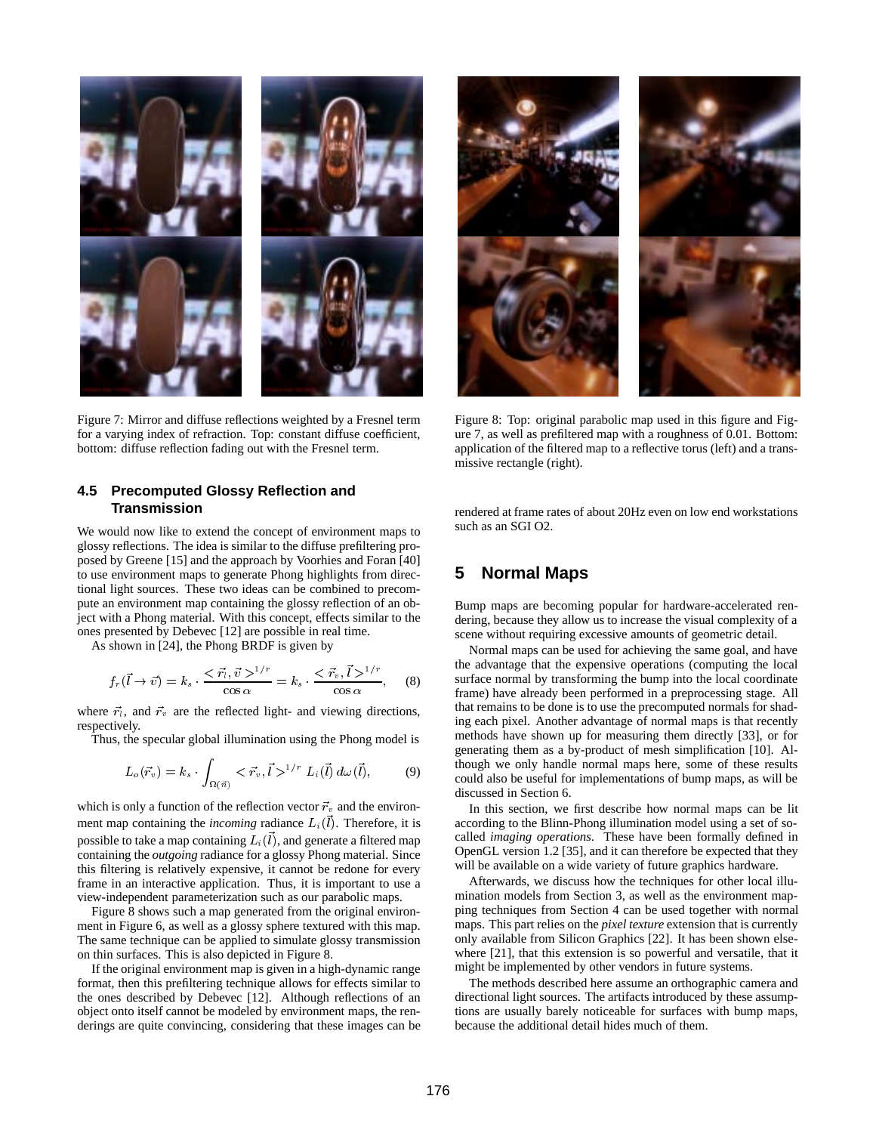

Figure 7: Mirror and diffuse reflections weighted by a Fresnel term for a varying index of refraction. Top: constant diffuse coefficient, bottom: diffuse reflection fading out with the Fresnel term.

### **4.5 Precomputed Glossy Reflection and Transmission**

We would now like to extend the concept of environment maps to glossy reflections. The idea is similar to the diffuse prefiltering proposed by Greene [15] and the approach by Voorhies and Foran [40] to use environment maps to generate Phong highlights from directional light sources. These two ideas can be combined to precompute an environment map containing the glossy reflection of an object with a Phong material. With this concept, effects similar to the ones presented by Debevec [12] are possible in real time.

As shown in [24], the Phong BRDF is given by

$$
f_r(\vec{l} \to \vec{v}) = k_s \cdot \frac{<\vec{r}_l, \vec{v}>^{1/r}}{\cos \alpha} = k_s \cdot \frac{<\vec{r}_v, \vec{l}>^{1/r}}{\cos \alpha}, \quad (8)
$$

where  $\vec{r}_l$ , and  $\vec{r}_v$  are the reflected light- and viewing directions, respectively.

Thus, the specular global illumination using the Phong model is

$$
L_o(\vec{r}_v) = k_s \cdot \int_{\Omega(\vec{n})} \langle \vec{r}_v, \vec{l} \rangle^{1/r} L_i(\vec{l}) d\omega(\vec{l}), \qquad (9)
$$

which is only a function of the reflection vector  $\vec{r}_v$  and the environment map containing the *incoming* radiance  $L_i(l)$ . Therefore, it is possible to take a map containing  $L_i(l)$ , and generate a filtered map containing the *outgoing* radiance for a glossy Phong material. Since this filtering is relatively expensive, it cannot be redone for every frame in an interactive application. Thus, it is important to use a view-independent parameterization such as our parabolic maps.

Figure 8 shows such a map generated from the original environment in Figure 6, as well as a glossy sphere textured with this map. The same technique can be applied to simulate glossy transmission on thin surfaces. This is also depicted in Figure 8.

If the original environment map is given in a high-dynamic range format, then this prefiltering technique allows for effects similar to the ones described by Debevec [12]. Although reflections of an object onto itself cannot be modeled by environment maps, the renderings are quite convincing, considering that these images can be



Figure 8: Top: original parabolic map used in this figure and Figure 7, as well as prefiltered map with a roughness of 0.01. Bottom: application of the filtered map to a reflective torus (left) and a transmissive rectangle (right).

rendered at frame rates of about 20Hz even on low end workstations such as an SGI O<sub>2</sub>.

# **5 Normal Maps**

Bump maps are becoming popular for hardware-accelerated rendering, because they allow us to increase the visual complexity of a scene without requiring excessive amounts of geometric detail.

Normal maps can be used for achieving the same goal, and have the advantage that the expensive operations (computing the local surface normal by transforming the bump into the local coordinate frame) have already been performed in a preprocessing stage. All that remains to be done is to use the precomputed normals for shading each pixel. Another advantage of normal maps is that recently methods have shown up for measuring them directly [33], or for generating them as a by-product of mesh simplification [10]. Although we only handle normal maps here, some of these results could also be useful for implementations of bump maps, as will be discussed in Section 6.

In this section, we first describe how normal maps can be lit according to the Blinn-Phong illumination model using a set of socalled *imaging operations*. These have been formally defined in OpenGL version 1.2 [35], and it can therefore be expected that they will be available on a wide variety of future graphics hardware.

Afterwards, we discuss how the techniques for other local illumination models from Section 3, as well as the environment mapping techniques from Section 4 can be used together with normal maps. This part relies on the *pixel texture* extension that is currently only available from Silicon Graphics [22]. It has been shown elsewhere [21], that this extension is so powerful and versatile, that it might be implemented by other vendors in future systems.

The methods described here assume an orthographic camera and directional light sources. The artifacts introduced by these assumptions are usually barely noticeable for surfaces with bump maps, because the additional detail hides much of them.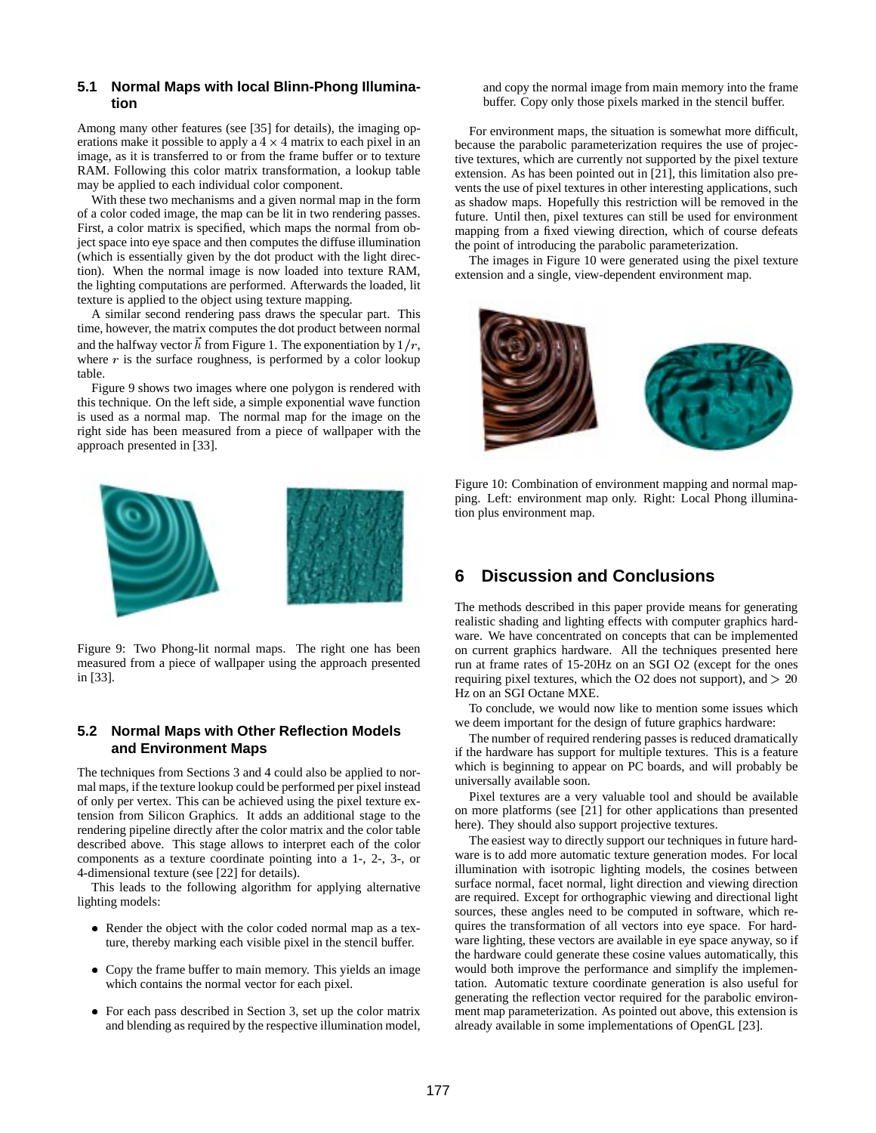### **5.1 Normal Maps with local Blinn-Phong Illumination**

Among many other features (see [35] for details), the imaging operations make it possible to apply a  $4 \times 4$  matrix to each pixel in an image, as it is transferred to or from the frame buffer or to texture RAM. Following this color matrix transformation, a lookup table may be applied to each individual color component.

With these two mechanisms and a given normal map in the form of a color coded image, the map can be lit in two rendering passes. First, a color matrix is specified, which maps the normal from object space into eye space and then computes the diffuse illumination (which is essentially given by the dot product with the light direction). When the normal image is now loaded into texture RAM, the lighting computations are performed. Afterwards the loaded, lit texture is applied to the object using texture mapping.

A similar second rendering pass draws the specular part. This time, however, the matrix computes the dot product between normal and the halfway vector  $\vec{h}$  from Figure 1. The exponentiation by  $1/r$ , where  $r$  is the surface roughness, is performed by a color lookup table.

Figure 9 shows two images where one polygon is rendered with this technique. On the left side, a simple exponential wave function is used as a normal map. The normal map for the image on the right side has been measured from a piece of wallpaper with the approach presented in [33].



Figure 9: Two Phong-lit normal maps. The right one has been measured from a piece of wallpaper using the approach presented in [33].

### **5.2 Normal Maps with Other Reflection Models and Environment Maps**

The techniques from Sections 3 and 4 could also be applied to normal maps, if the texture lookup could be performed per pixel instead of only per vertex. This can be achieved using the pixel texture extension from Silicon Graphics. It adds an additional stage to the rendering pipeline directly after the color matrix and the color table described above. This stage allows to interpret each of the color components as a texture coordinate pointing into a 1-, 2-, 3-, or 4-dimensional texture (see [22] for details).

This leads to the following algorithm for applying alternative lighting models:

- Render the object with the color coded normal map as a texture, thereby marking each visible pixel in the stencil buffer.
- Copy the frame buffer to main memory. This yields an image which contains the normal vector for each pixel.
- For each pass described in Section 3, set up the color matrix and blending as required by the respective illumination model,

and copy the normal image from main memory into the frame buffer. Copy only those pixels marked in the stencil buffer.

For environment maps, the situation is somewhat more difficult, because the parabolic parameterization requires the use of projective textures, which are currently not supported by the pixel texture extension. As has been pointed out in  $[21]$ , this limitation also prevents the use of pixel textures in other interesting applications, such as shadow maps. Hopefully this restriction will be removed in the future. Until then, pixel textures can still be used for environment mapping from a fixed viewing direction, which of course defeats the point of introducing the parabolic parameterization.

The images in Figure 10 were generated using the pixel texture extension and a single, view-dependent environment map.



Figure 10: Combination of environment mapping and normal mapping. Left: environment map only. Right: Local Phong illumination plus environment map.

# **6 Discussion and Conclusions**

The methods described in this paper provide means for generating realistic shading and lighting effects with computer graphics hardware. We have concentrated on concepts that can be implemented on current graphics hardware. All the techniques presented here run at frame rates of 15-20Hz on an SGI O2 (except for the ones requiring pixel textures, which the O2 does not support), and  $> 20$ Hz on an SGI Octane MXE.

To conclude, we would now like to mention some issues which we deem important for the design of future graphics hardware:

The number of required rendering passes is reduced dramatically if the hardware has support for multiple textures. This is a feature which is beginning to appear on PC boards, and will probably be universally available soon.

Pixel textures are a very valuable tool and should be available on more platforms (see [21] for other applications than presented here). They should also support projective textures.

The easiest way to directly support our techniques in future hardware is to add more automatic texture generation modes. For local illumination with isotropic lighting models, the cosines between surface normal, facet normal, light direction and viewing direction are required. Except for orthographic viewing and directional light sources, these angles need to be computed in software, which requires the transformation of all vectors into eye space. For hardware lighting, these vectors are available in eye space anyway, so if the hardware could generate these cosine values automatically, this would both improve the performance and simplify the implementation. Automatic texture coordinate generation is also useful for generating the reflection vector required for the parabolic environment map parameterization. As pointed out above, this extension is already available in some implementations of OpenGL [23].